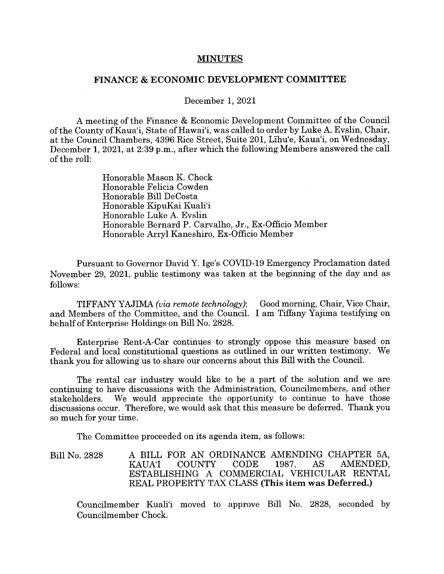## MINUTES

## FINANCE & ECONOMIC DEVELOPMENT COMMITTEE

## December 1, 2021

A meeting of the Finance & Economic Development Committee of the Council of the County of Kaua'i, State of Hawai'i, was called to order by Luke A. Evslin, Chair, at the Council Chambers, 4396 Rice Street, Suite 201, Lihu'e, Kaua'i, on Wednesday, December 1, 2021, at 2:39 p.m., after which the following Members answered the call of the roll:

> Honorable Mason K. Chock Honorable Felicia Cowden Honorable Bill DeCosta Honorable KipuKai Kuali'i Honorable Luke A. Evslin Honorable Bernard P. Carvalho, Jr., Ex-Officio Member Honorable Arryl Kaneshiro, Ex-Officio Member

Pursuant to Governor David Y. Ige's COVID-19 Emergency Proclamation dated November 29, 2021, public testimony was taken at the beginning of the day and as follows:

TIFFANY YAJIMA (via remote technology): Good morning, Chair, Vice Chair, and Members of the Committee, and the Council. I am Tiffany Yajima testifying on behalf of Enterprise Holdings on Bill No. 2828.

Enterprise Rent-A-Car continues to strongly oppose this measure based on Federal and local constitutional questions as outlined in our written testimony. We thank you for allowing us to share our concerns about this Bifi with the Council.

The rental car industry would like to be a part of the solution and we are continuing to have discussions with the Administration, Councilmembers, and other stakeholders. We would appreciate the opportunity to continue to have those discussions occur. Therefore, we would ask that this measure be deferred. Thank you so much for your time.

The Committee proceeded on its agenda item, as follows:

Bill No. 2828 A BILL FOR AN ORDINANCE AMENDING CHAPTER 5A,<br>KAUA'I COUNTY CODE 1987, AS AMENDED, AMENDED. ESTABLISHING A COMMERCIAL VEHICULAR RENTAL REAL PROPERTY TAX CLASS (This item was Deferred.)

Councilmember Kuali'i moved to approve Bill No. 2828, seconded by Councilmember Chock.